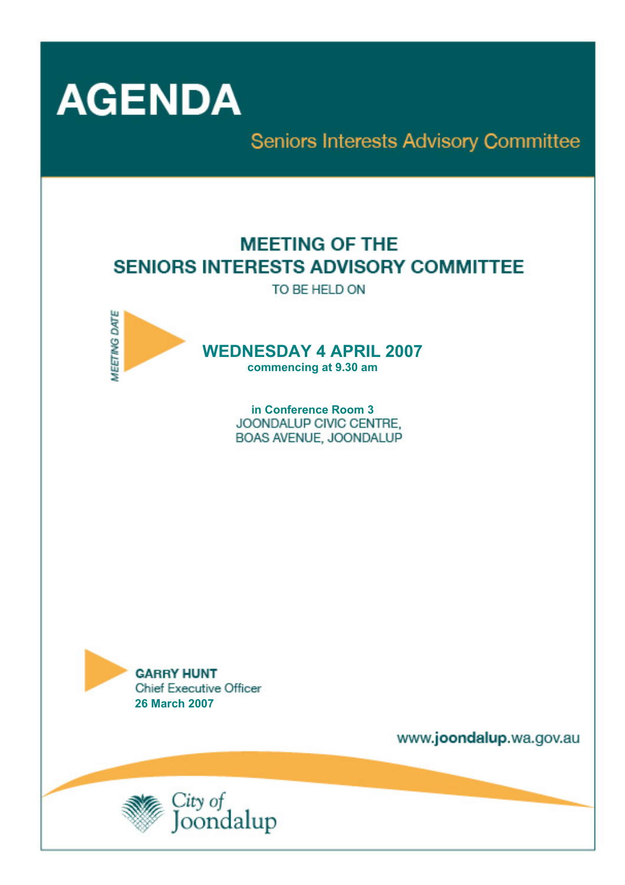

Seniors Interests Advisory Committee

# **MEETING OF THE SENIORS INTERESTS ADVISORY COMMITTEE**

TO BE HELD ON



**WEDNESDAY 4 APRIL 2007** 

**commencing at 9.30 am** 

**in Conference Room 3**  BOAS AVENUE, JOONDALUP



www.joondalup.wa.gov.au

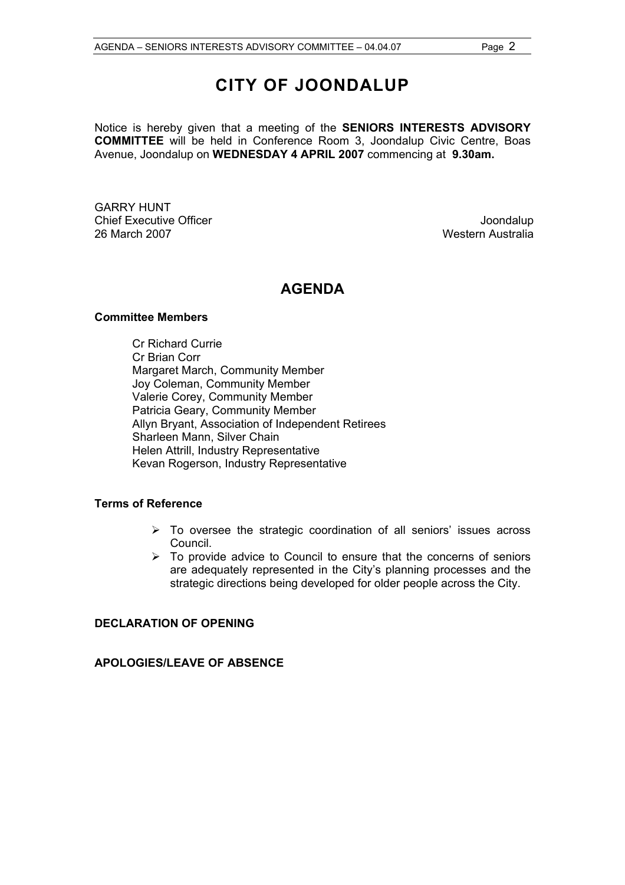# **CITY OF JOONDALUP**

Notice is hereby given that a meeting of the **SENIORS INTERESTS ADVISORY COMMITTEE** will be held in Conference Room 3, Joondalup Civic Centre, Boas Avenue, Joondalup on **WEDNESDAY 4 APRIL 2007** commencing at **9.30am.**

GARRY HUNT Chief Executive Officer **Joondalup** 26 March 2007 Western Australia

### **AGENDA**

#### **C***o***mmittee Members**

Cr Richard Currie Cr Brian Corr Margaret March, Community Member Joy Coleman, Community Member Valerie Corey, Community Member Patricia Geary, Community Member Allyn Bryant, Association of Independent Retirees Sharleen Mann, Silver Chain Helen Attrill, Industry Representative Kevan Rogerson, Industry Representative

#### **Terms of Reference**

- $\triangleright$  To oversee the strategic coordination of all seniors' issues across Council.
- $\triangleright$  To provide advice to Council to ensure that the concerns of seniors are adequately represented in the City's planning processes and the strategic directions being developed for older people across the City.

#### **DECLARATION OF OPENING**

**APOLOGIES/LEAVE OF ABSENCE**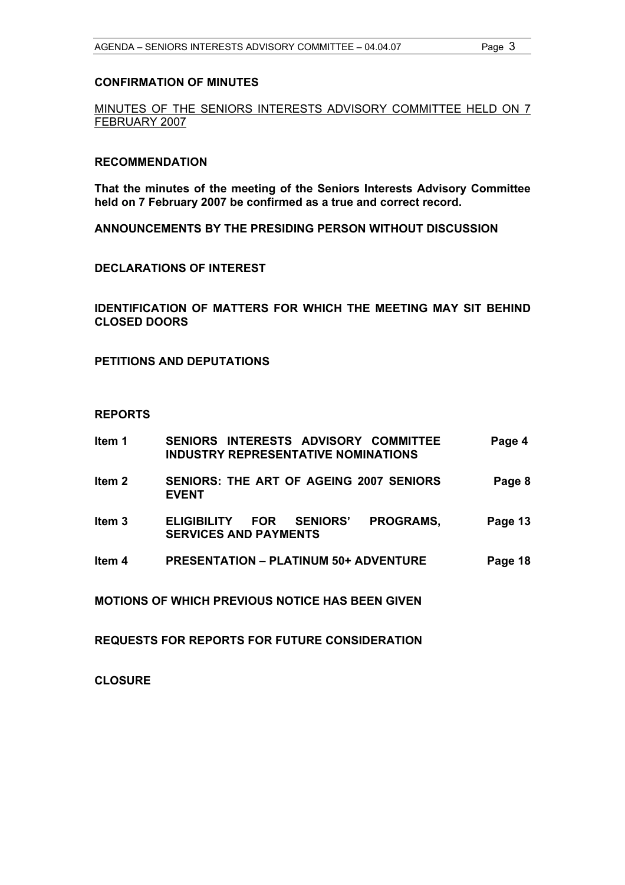#### **CONFIRMATION OF MINUTES**

MINUTES OF THE SENIORS INTERESTS ADVISORY COMMITTEE HELD ON 7 FEBRUARY 2007

#### **RECOMMENDATION**

**That the minutes of the meeting of the Seniors Interests Advisory Committee held on 7 February 2007 be confirmed as a true and correct record.** 

**ANNOUNCEMENTS BY THE PRESIDING PERSON WITHOUT DISCUSSION** 

#### **DECLARATIONS OF INTEREST**

**IDENTIFICATION OF MATTERS FOR WHICH THE MEETING MAY SIT BEHIND CLOSED DOORS** 

**PETITIONS AND DEPUTATIONS** 

#### **REPORTS**

| ltem 1 | SENIORS INTERESTS ADVISORY COMMITTEE<br><b>INDUSTRY REPRESENTATIVE NOMINATIONS</b>               | Page 4  |
|--------|--------------------------------------------------------------------------------------------------|---------|
| Item 2 | SENIORS: THE ART OF AGEING 2007 SENIORS<br><b>EVENT</b>                                          | Page 8  |
| Item 3 | PROGRAMS,<br><b>SENIORS'</b><br><b>ELIGIBILITY</b><br><b>FOR</b><br><b>SERVICES AND PAYMENTS</b> | Page 13 |
| Item 4 | <b>PRESENTATION - PLATINUM 50+ ADVENTURE</b>                                                     | Page 18 |
|        | <b>MOTIONS OF WHICH PREVIOUS NOTICE HAS BEEN GIVEN</b>                                           |         |
|        |                                                                                                  |         |

**REQUESTS FOR REPORTS FOR FUTURE CONSIDERATION** 

**CLOSURE**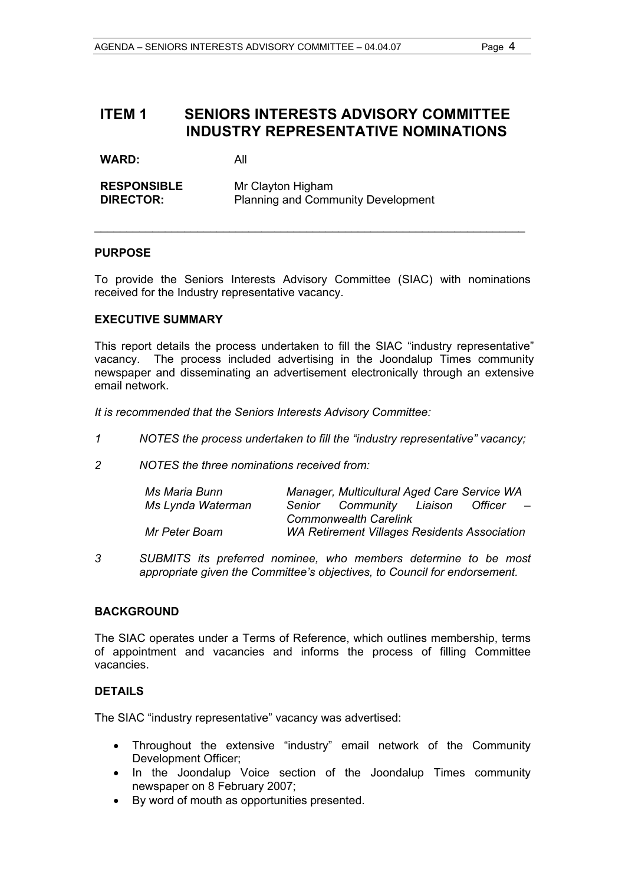## **ITEM 1 SENIORS INTERESTS ADVISORY COMMITTEE INDUSTRY REPRESENTATIVE NOMINATIONS**

WARD: All

**RESPONSIBLE** Mr Clayton Higham **DIRECTOR:** Planning and Community Development

#### **PURPOSE**

To provide the Seniors Interests Advisory Committee (SIAC) with nominations received for the Industry representative vacancy.

\_\_\_\_\_\_\_\_\_\_\_\_\_\_\_\_\_\_\_\_\_\_\_\_\_\_\_\_\_\_\_\_\_\_\_\_\_\_\_\_\_\_\_\_\_\_\_\_\_\_\_\_\_\_\_\_\_\_\_\_\_\_\_\_\_\_\_

#### **EXECUTIVE SUMMARY**

This report details the process undertaken to fill the SIAC "industry representative" vacancy. The process included advertising in the Joondalup Times community newspaper and disseminating an advertisement electronically through an extensive email network.

*It is recommended that the Seniors Interests Advisory Committee:* 

- *1 NOTES the process undertaken to fill the "industry representative" vacancy;*
- *2 NOTES the three nominations received from:*

| Ms Maria Bunn     |                                                     | Manager, Multicultural Aged Care Service WA |         |                          |
|-------------------|-----------------------------------------------------|---------------------------------------------|---------|--------------------------|
| Ms Lynda Waterman |                                                     | Senior Community Liaison                    | Officer | $\overline{\phantom{0}}$ |
|                   |                                                     | <b>Commonwealth Carelink</b>                |         |                          |
| Mr Peter Boam     | <b>WA Retirement Villages Residents Association</b> |                                             |         |                          |

*3 SUBMITS its preferred nominee, who members determine to be most appropriate given the Committee's objectives, to Council for endorsement.* 

#### **BACKGROUND**

The SIAC operates under a Terms of Reference, which outlines membership, terms of appointment and vacancies and informs the process of filling Committee vacancies.

#### **DETAILS**

The SIAC "industry representative" vacancy was advertised:

- Throughout the extensive "industry" email network of the Community Development Officer;
- In the Joondalup Voice section of the Joondalup Times community newspaper on 8 February 2007;
- By word of mouth as opportunities presented.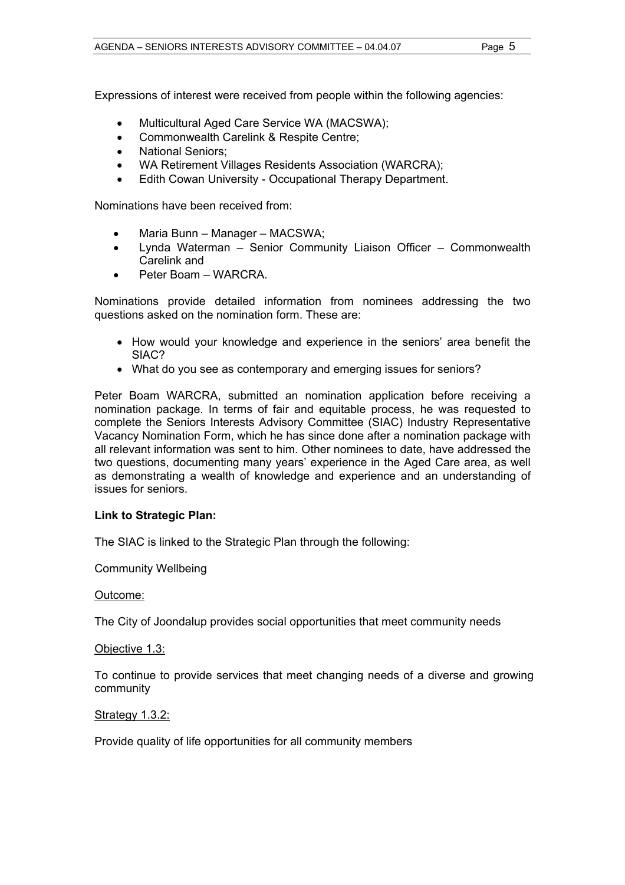Expressions of interest were received from people within the following agencies:

- Multicultural Aged Care Service WA (MACSWA);
- Commonwealth Carelink & Respite Centre;
- National Seniors;
- WA Retirement Villages Residents Association (WARCRA);
- Edith Cowan University Occupational Therapy Department.

Nominations have been received from:

- Maria Bunn Manager MACSWA;
- Lynda Waterman Senior Community Liaison Officer Commonwealth Carelink and
- Peter Boam WARCRA.

Nominations provide detailed information from nominees addressing the two questions asked on the nomination form. These are:

- How would your knowledge and experience in the seniors' area benefit the SIAC?
- What do you see as contemporary and emerging issues for seniors?

Peter Boam WARCRA, submitted an nomination application before receiving a nomination package. In terms of fair and equitable process, he was requested to complete the Seniors Interests Advisory Committee (SIAC) Industry Representative Vacancy Nomination Form, which he has since done after a nomination package with all relevant information was sent to him. Other nominees to date, have addressed the two questions, documenting many years' experience in the Aged Care area, as well as demonstrating a wealth of knowledge and experience and an understanding of issues for seniors.

#### **Link to Strategic Plan:**

The SIAC is linked to the Strategic Plan through the following:

Community Wellbeing

#### Outcome:

The City of Joondalup provides social opportunities that meet community needs

#### Objective 1.3:

To continue to provide services that meet changing needs of a diverse and growing community

#### Strategy 1.3.2:

Provide quality of life opportunities for all community members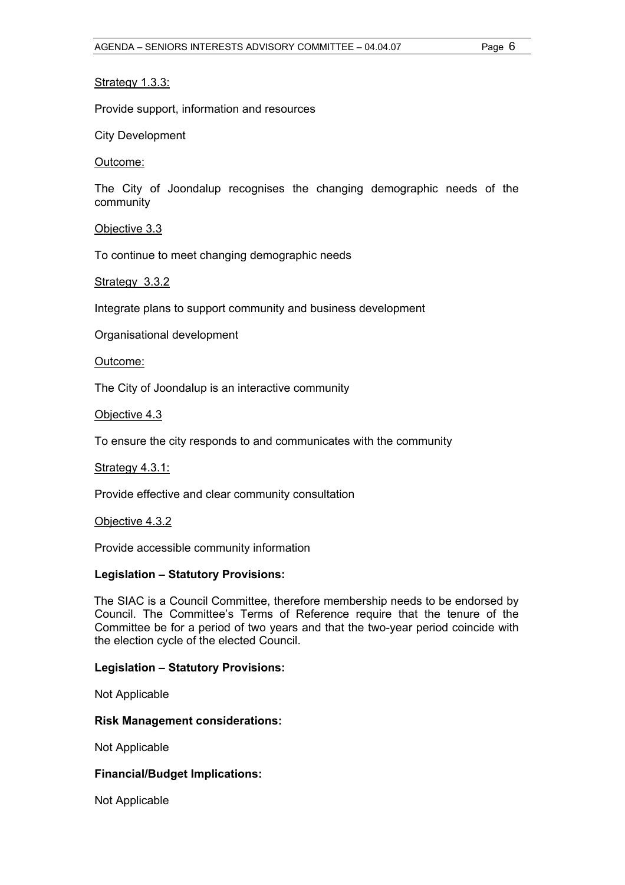#### Strategy 1.3.3:

Provide support, information and resources

City Development

#### Outcome:

The City of Joondalup recognises the changing demographic needs of the community

Objective 3.3

To continue to meet changing demographic needs

Strategy 3.3.2

Integrate plans to support community and business development

Organisational development

Outcome:

The City of Joondalup is an interactive community

Objective 4.3

To ensure the city responds to and communicates with the community

#### Strategy 4.3.1:

Provide effective and clear community consultation

Objective 4.3.2

Provide accessible community information

#### **Legislation – Statutory Provisions:**

The SIAC is a Council Committee, therefore membership needs to be endorsed by Council. The Committee's Terms of Reference require that the tenure of the Committee be for a period of two years and that the two-year period coincide with the election cycle of the elected Council.

#### **Legislation – Statutory Provisions:**

Not Applicable

#### **Risk Management considerations:**

Not Applicable

#### **Financial/Budget Implications:**

Not Applicable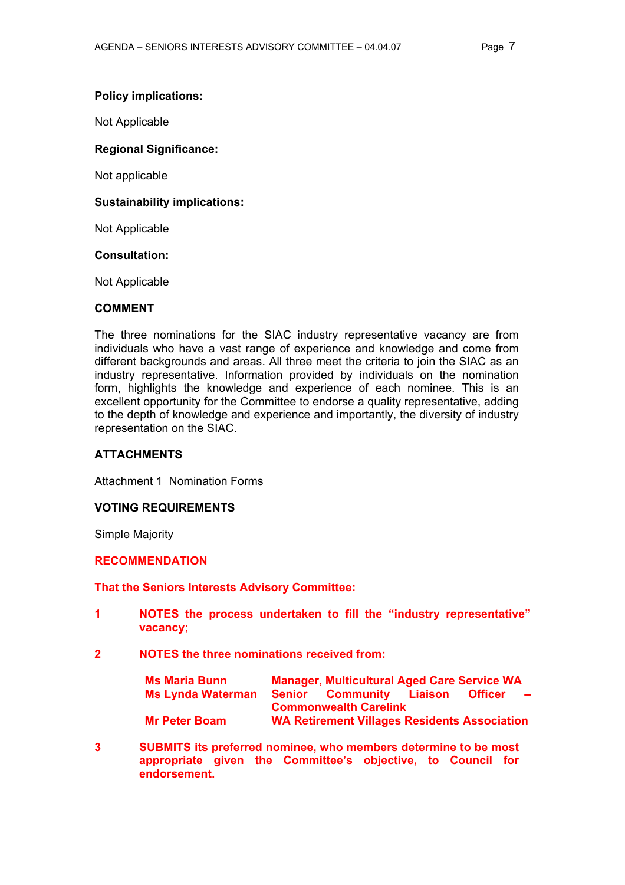#### **Policy implications:**

Not Applicable

#### **Regional Significance:**

Not applicable

#### **Sustainability implications:**

Not Applicable

#### **Consultation:**

Not Applicable

#### **COMMENT**

The three nominations for the SIAC industry representative vacancy are from individuals who have a vast range of experience and knowledge and come from different backgrounds and areas. All three meet the criteria to join the SIAC as an industry representative. Information provided by individuals on the nomination form, highlights the knowledge and experience of each nominee. This is an excellent opportunity for the Committee to endorse a quality representative, adding to the depth of knowledge and experience and importantly, the diversity of industry representation on the SIAC.

#### **ATTACHMENTS**

Attachment 1 Nomination Forms

#### **VOTING REQUIREMENTS**

Simple Majority

#### **RECOMMENDATION**

#### **That the Seniors Interests Advisory Committee:**

- **1 NOTES the process undertaken to fill the "industry representative" vacancy;**
- **2 NOTES the three nominations received from:**

| <b>Ms Maria Bunn</b>     | <b>Manager, Multicultural Aged Care Service WA</b>  |                |          |
|--------------------------|-----------------------------------------------------|----------------|----------|
| <b>Ms Lynda Waterman</b> | <b>Senior Community Liaison</b>                     | <b>Officer</b> | $\equiv$ |
|                          | <b>Commonwealth Carelink</b>                        |                |          |
| <b>Mr Peter Boam</b>     | <b>WA Retirement Villages Residents Association</b> |                |          |

**3 SUBMITS its preferred nominee, who members determine to be most appropriate given the Committee's objective, to Council for endorsement.**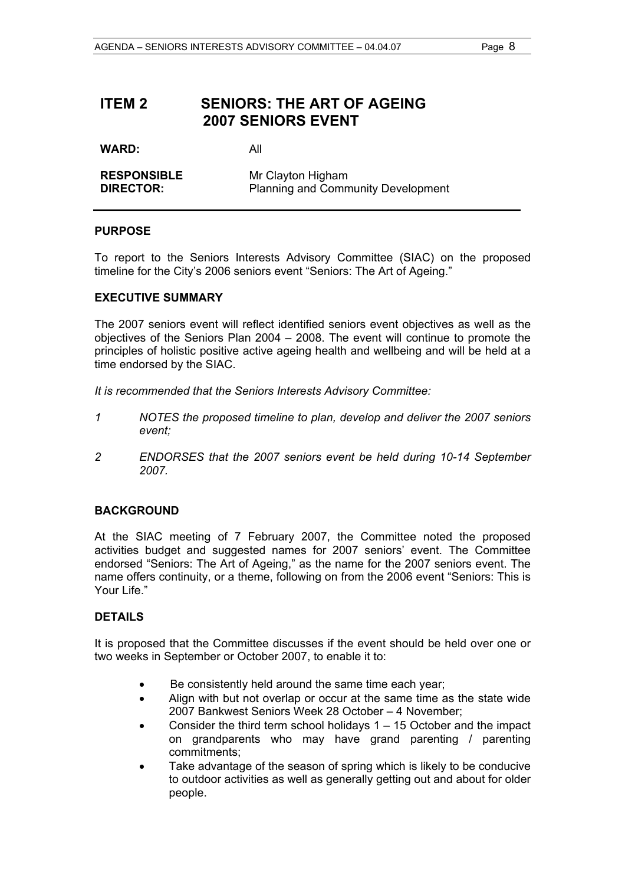## **ITEM 2 SENIORS: THE ART OF AGEING 2007 SENIORS EVENT**

**WARD:** All

| <b>RESPONSIBLE</b> | Mr Clayton Higham                         |
|--------------------|-------------------------------------------|
| <b>DIRECTOR:</b>   | <b>Planning and Community Development</b> |

#### **PURPOSE**

To report to the Seniors Interests Advisory Committee (SIAC) on the proposed timeline for the City's 2006 seniors event "Seniors: The Art of Ageing."

#### **EXECUTIVE SUMMARY**

The 2007 seniors event will reflect identified seniors event objectives as well as the objectives of the Seniors Plan 2004 – 2008. The event will continue to promote the principles of holistic positive active ageing health and wellbeing and will be held at a time endorsed by the SIAC.

*It is recommended that the Seniors Interests Advisory Committee:* 

- *1 NOTES the proposed timeline to plan, develop and deliver the 2007 seniors event;*
- *2 ENDORSES that the 2007 seniors event be held during 10-14 September 2007.*

#### **BACKGROUND**

At the SIAC meeting of 7 February 2007, the Committee noted the proposed activities budget and suggested names for 2007 seniors' event. The Committee endorsed "Seniors: The Art of Ageing," as the name for the 2007 seniors event. The name offers continuity, or a theme, following on from the 2006 event "Seniors: This is Your Life."

#### **DETAILS**

It is proposed that the Committee discusses if the event should be held over one or two weeks in September or October 2007, to enable it to:

- Be consistently held around the same time each year;
- Align with but not overlap or occur at the same time as the state wide 2007 Bankwest Seniors Week 28 October – 4 November;
- Consider the third term school holidays  $1 15$  October and the impact on grandparents who may have grand parenting / parenting commitments;
- Take advantage of the season of spring which is likely to be conducive to outdoor activities as well as generally getting out and about for older people.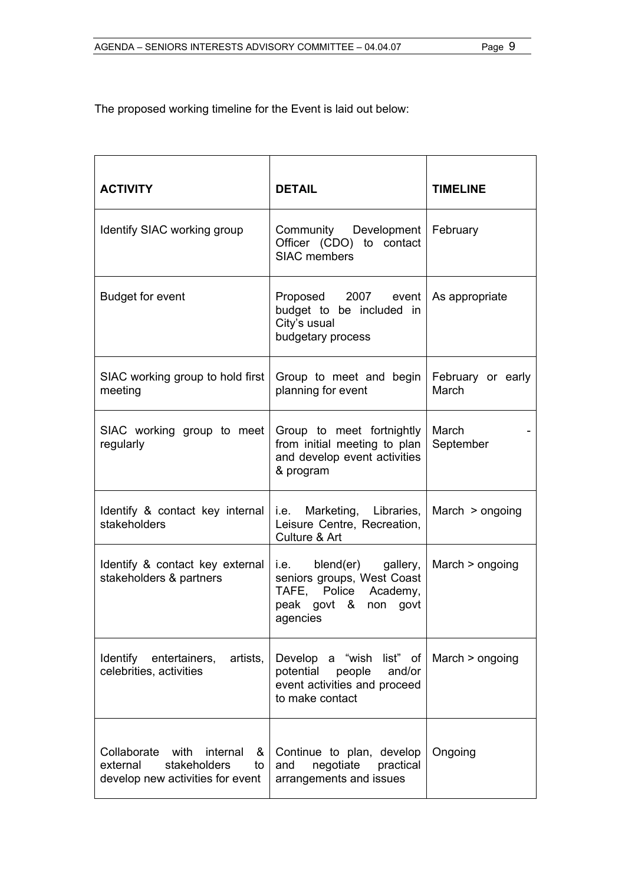The proposed working timeline for the Event is laid out below:

| <b>ACTIVITY</b>                                                                                      | <b>DETAIL</b>                                                                                                      | <b>TIMELINE</b>            |
|------------------------------------------------------------------------------------------------------|--------------------------------------------------------------------------------------------------------------------|----------------------------|
| Identify SIAC working group                                                                          | Community Development   February<br>Officer (CDO) to contact<br><b>SIAC members</b>                                |                            |
| <b>Budget for event</b>                                                                              | Proposed 2007 event<br>budget to be included in<br>City's usual<br>budgetary process                               | As appropriate             |
| SIAC working group to hold first<br>meeting                                                          | Group to meet and begin<br>planning for event                                                                      | February or early<br>March |
| SIAC working group to meet<br>regularly                                                              | Group to meet fortnightly<br>from initial meeting to plan<br>and develop event activities<br>& program             | March<br>September         |
| Identify & contact key internal<br>stakeholders                                                      | i.e. Marketing, Libraries,<br>Leisure Centre, Recreation,<br>Culture & Art                                         | March $>$ ongoing          |
| Identify & contact key external<br>stakeholders & partners                                           | i.e. blend(er) gallery,<br>seniors groups, West Coast<br>TAFE, Police Academy,<br>peak govt & non govt<br>agencies | March $>$ ongoing          |
| Identify<br>entertainers,<br>artists,<br>celebrities, activities                                     | Develop a "wish list" of<br>potential<br>people<br>and/or<br>event activities and proceed<br>to make contact       | March $>$ ongoing          |
| Collaborate with<br>internal &<br>stakeholders<br>external<br>to<br>develop new activities for event | Continue to plan, develop<br>negotiate<br>and<br>practical<br>arrangements and issues                              | Ongoing                    |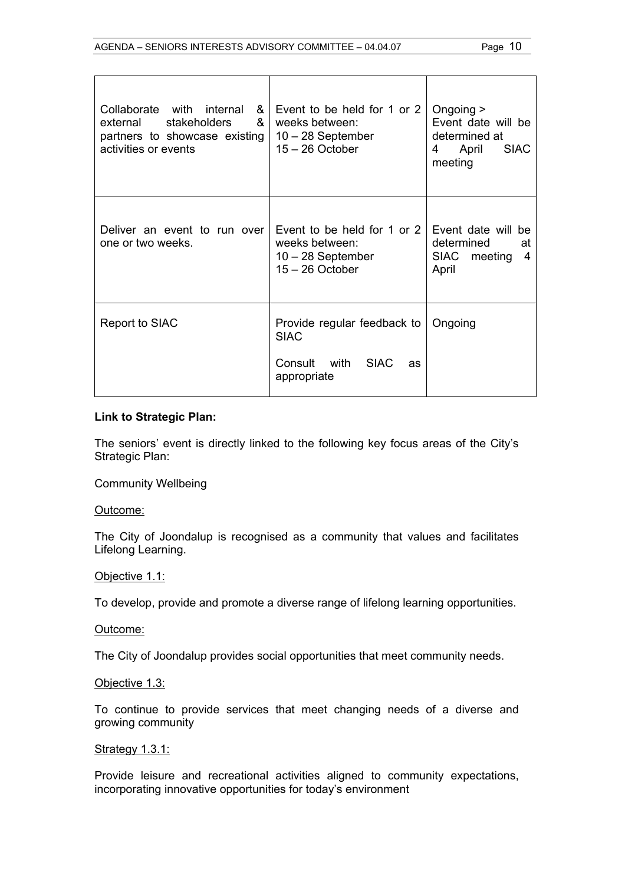| Collaborate with internal<br>&<br>&<br>stakeholders<br>external<br>partners to showcase existing<br>activities or events | Event to be held for 1 or 2<br>weeks between:<br>$10 - 28$ September<br>$15 - 26$ October | Ongoing $>$<br>Event date will be<br>determined at<br>April<br><b>SIAC</b><br>4<br>meeting |
|--------------------------------------------------------------------------------------------------------------------------|-------------------------------------------------------------------------------------------|--------------------------------------------------------------------------------------------|
| Deliver an event to run over<br>one or two weeks.                                                                        | Event to be held for 1 or 2<br>weeks between:<br>$10 - 28$ September<br>$15 - 26$ October | Event date will be<br>determined<br>at<br><b>SIAC</b><br>4<br>meeting<br>April             |
| Report to SIAC                                                                                                           | Provide regular feedback to<br><b>SIAC</b><br>Consult with SIAC<br>as<br>appropriate      | Ongoing                                                                                    |

#### **Link to Strategic Plan:**

The seniors' event is directly linked to the following key focus areas of the City's Strategic Plan:

Community Wellbeing

Outcome:

The City of Joondalup is recognised as a community that values and facilitates Lifelong Learning.

#### Objective 1.1:

To develop, provide and promote a diverse range of lifelong learning opportunities.

Outcome:

The City of Joondalup provides social opportunities that meet community needs.

#### Objective 1.3:

To continue to provide services that meet changing needs of a diverse and growing community

#### **Strategy 1.3.1:**

Provide leisure and recreational activities aligned to community expectations, incorporating innovative opportunities for today's environment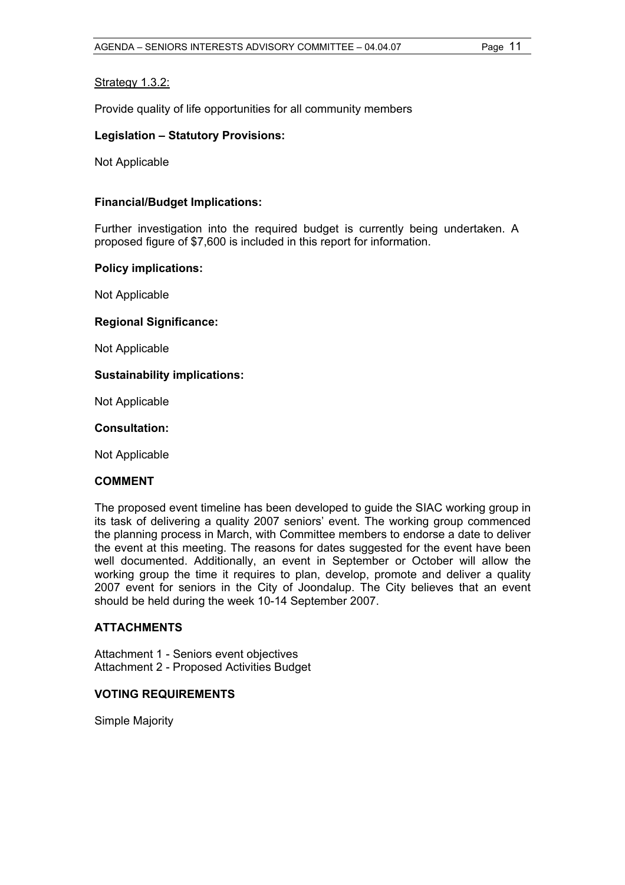#### Strategy 1.3.2:

Provide quality of life opportunities for all community members

#### **Legislation – Statutory Provisions:**

Not Applicable

#### **Financial/Budget Implications:**

Further investigation into the required budget is currently being undertaken. A proposed figure of \$7,600 is included in this report for information.

#### **Policy implications:**

Not Applicable

#### **Regional Significance:**

Not Applicable

#### **Sustainability implications:**

Not Applicable

#### **Consultation:**

Not Applicable

#### **COMMENT**

The proposed event timeline has been developed to guide the SIAC working group in its task of delivering a quality 2007 seniors' event. The working group commenced the planning process in March, with Committee members to endorse a date to deliver the event at this meeting. The reasons for dates suggested for the event have been well documented. Additionally, an event in September or October will allow the working group the time it requires to plan, develop, promote and deliver a quality 2007 event for seniors in the City of Joondalup. The City believes that an event should be held during the week 10-14 September 2007.

#### **ATTACHMENTS**

Attachment 1 - Seniors event objectives Attachment 2 - Proposed Activities Budget

#### **VOTING REQUIREMENTS**

Simple Majority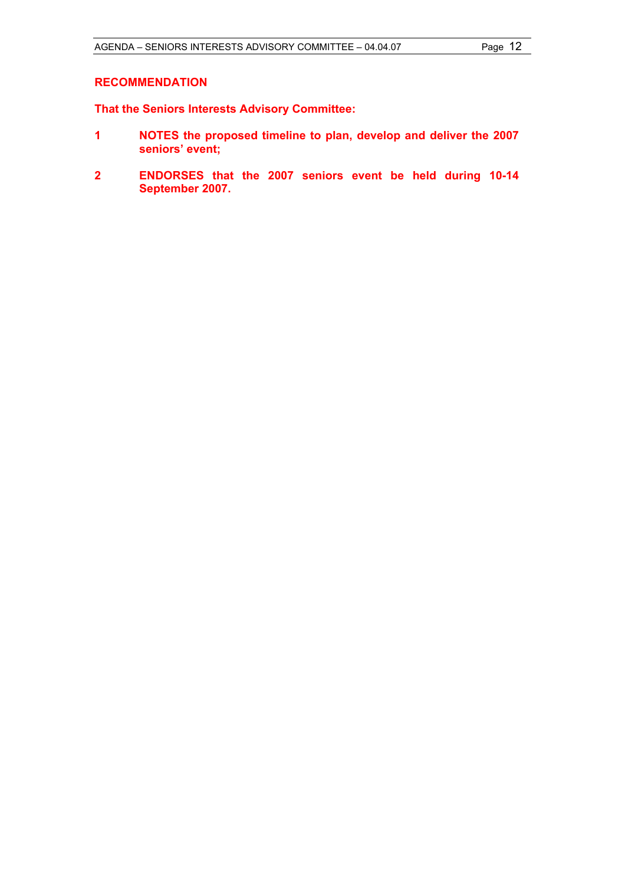#### **RECOMMENDATION**

**That the Seniors Interests Advisory Committee:** 

- **1 NOTES the proposed timeline to plan, develop and deliver the 2007 seniors' event;**
- **2 ENDORSES that the 2007 seniors event be held during 10-14 September 2007.**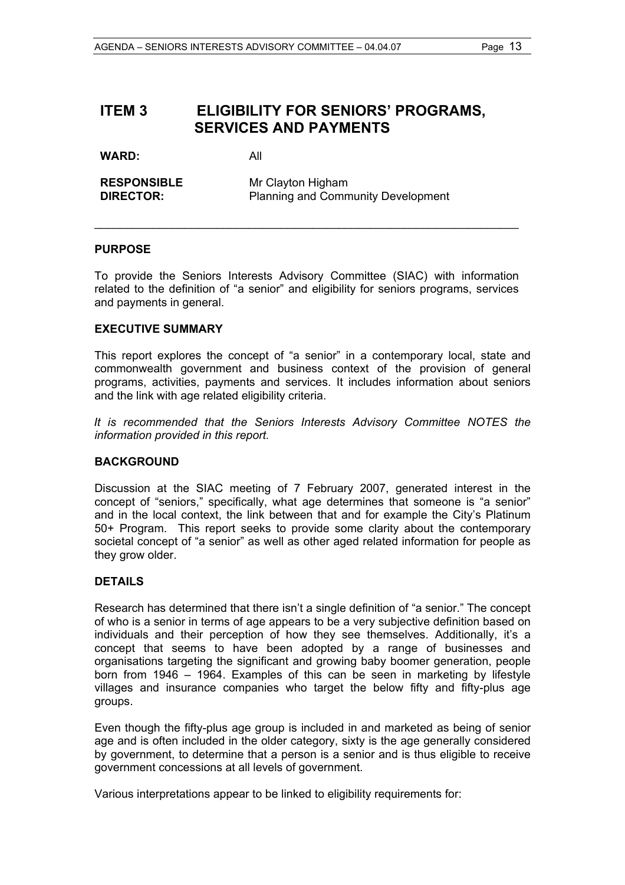# **ITEM 3 ELIGIBILITY FOR SENIORS' PROGRAMS, SERVICES AND PAYMENTS**

**WARD:** All

| <b>RESPONSIBLE</b> | Mr Clayton Higham                         |
|--------------------|-------------------------------------------|
| <b>DIRECTOR:</b>   | <b>Planning and Community Development</b> |

#### **PURPOSE**

To provide the Seniors Interests Advisory Committee (SIAC) with information related to the definition of "a senior" and eligibility for seniors programs, services and payments in general.

\_\_\_\_\_\_\_\_\_\_\_\_\_\_\_\_\_\_\_\_\_\_\_\_\_\_\_\_\_\_\_\_\_\_\_\_\_\_\_\_\_\_\_\_\_\_\_\_\_\_\_\_\_\_\_\_\_\_\_\_\_\_\_\_\_\_

#### **EXECUTIVE SUMMARY**

This report explores the concept of "a senior" in a contemporary local, state and commonwealth government and business context of the provision of general programs, activities, payments and services. It includes information about seniors and the link with age related eligibility criteria.

*It is recommended that the Seniors Interests Advisory Committee NOTES the information provided in this report.* 

#### **BACKGROUND**

Discussion at the SIAC meeting of 7 February 2007, generated interest in the concept of "seniors," specifically, what age determines that someone is "a senior" and in the local context, the link between that and for example the City's Platinum 50+ Program. This report seeks to provide some clarity about the contemporary societal concept of "a senior" as well as other aged related information for people as they grow older.

#### **DETAILS**

Research has determined that there isn't a single definition of "a senior." The concept of who is a senior in terms of age appears to be a very subjective definition based on individuals and their perception of how they see themselves. Additionally, it's a concept that seems to have been adopted by a range of businesses and organisations targeting the significant and growing baby boomer generation, people born from 1946 – 1964. Examples of this can be seen in marketing by lifestyle villages and insurance companies who target the below fifty and fifty-plus age groups.

Even though the fifty-plus age group is included in and marketed as being of senior age and is often included in the older category, sixty is the age generally considered by government, to determine that a person is a senior and is thus eligible to receive government concessions at all levels of government.

Various interpretations appear to be linked to eligibility requirements for: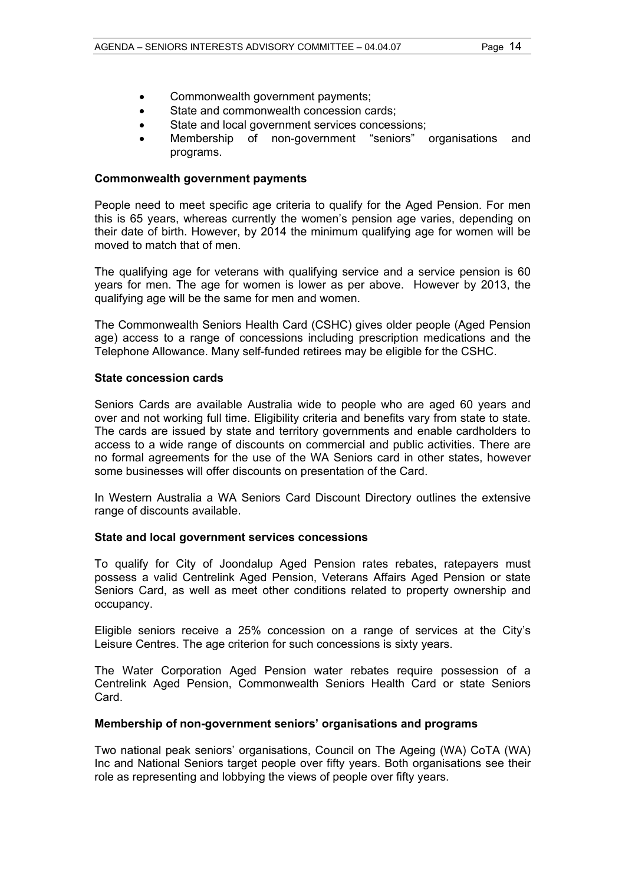- Commonwealth government payments;
- State and commonwealth concession cards:
- State and local government services concessions;
- Membership of non-government "seniors" organisations and programs.

#### **Commonwealth government payments**

People need to meet specific age criteria to qualify for the Aged Pension. For men this is 65 years, whereas currently the women's pension age varies, depending on their date of birth. However, by 2014 the minimum qualifying age for women will be moved to match that of men.

The qualifying age for veterans with qualifying service and a service pension is 60 years for men. The age for women is lower as per above. However by 2013, the qualifying age will be the same for men and women.

The Commonwealth Seniors Health Card (CSHC) gives older people (Aged Pension age) access to a range of concessions including prescription medications and the Telephone Allowance. Many self-funded retirees may be eligible for the CSHC.

#### **State concession cards**

Seniors Cards are available Australia wide to people who are aged 60 years and over and not working full time. Eligibility criteria and benefits vary from state to state. The cards are issued by state and territory governments and enable cardholders to access to a wide range of discounts on commercial and public activities. There are no formal agreements for the use of the WA Seniors card in other states, however some businesses will offer discounts on presentation of the Card.

In Western Australia a WA Seniors Card Discount Directory outlines the extensive range of discounts available.

#### **State and local government services concessions**

To qualify for City of Joondalup Aged Pension rates rebates, ratepayers must possess a valid Centrelink Aged Pension, Veterans Affairs Aged Pension or state Seniors Card, as well as meet other conditions related to property ownership and occupancy.

Eligible seniors receive a 25% concession on a range of services at the City's Leisure Centres. The age criterion for such concessions is sixty years.

The Water Corporation Aged Pension water rebates require possession of a Centrelink Aged Pension, Commonwealth Seniors Health Card or state Seniors Card.

#### **Membership of non-government seniors' organisations and programs**

Two national peak seniors' organisations, Council on The Ageing (WA) CoTA (WA) Inc and National Seniors target people over fifty years. Both organisations see their role as representing and lobbying the views of people over fifty years.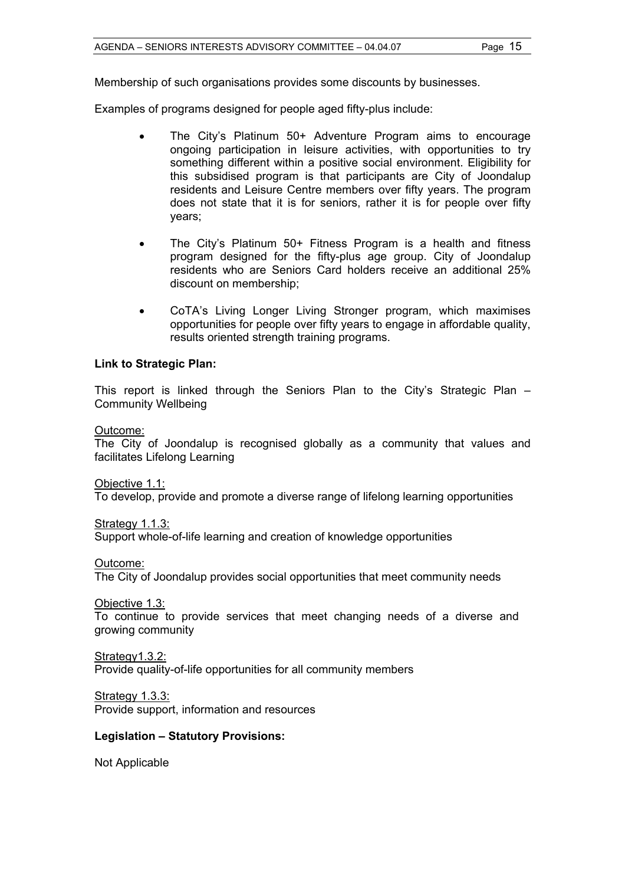Membership of such organisations provides some discounts by businesses.

Examples of programs designed for people aged fifty-plus include:

- The City's Platinum 50+ Adventure Program aims to encourage ongoing participation in leisure activities, with opportunities to try something different within a positive social environment. Eligibility for this subsidised program is that participants are City of Joondalup residents and Leisure Centre members over fifty years. The program does not state that it is for seniors, rather it is for people over fifty years;
- The City's Platinum 50+ Fitness Program is a health and fitness program designed for the fifty-plus age group. City of Joondalup residents who are Seniors Card holders receive an additional 25% discount on membership;
- CoTA's Living Longer Living Stronger program, which maximises opportunities for people over fifty years to engage in affordable quality, results oriented strength training programs.

#### **Link to Strategic Plan:**

This report is linked through the Seniors Plan to the City's Strategic Plan – Community Wellbeing

#### Outcome:

The City of Joondalup is recognised globally as a community that values and facilitates Lifelong Learning

Objective 1.1:

To develop, provide and promote a diverse range of lifelong learning opportunities

Strategy 1.1.3:

Support whole-of-life learning and creation of knowledge opportunities

Outcome:

The City of Joondalup provides social opportunities that meet community needs

Objective 1.3:

To continue to provide services that meet changing needs of a diverse and growing community

Strategy1.3.2:

Provide quality-of-life opportunities for all community members

Strategy 1.3.3: Provide support, information and resources

#### **Legislation – Statutory Provisions:**

Not Applicable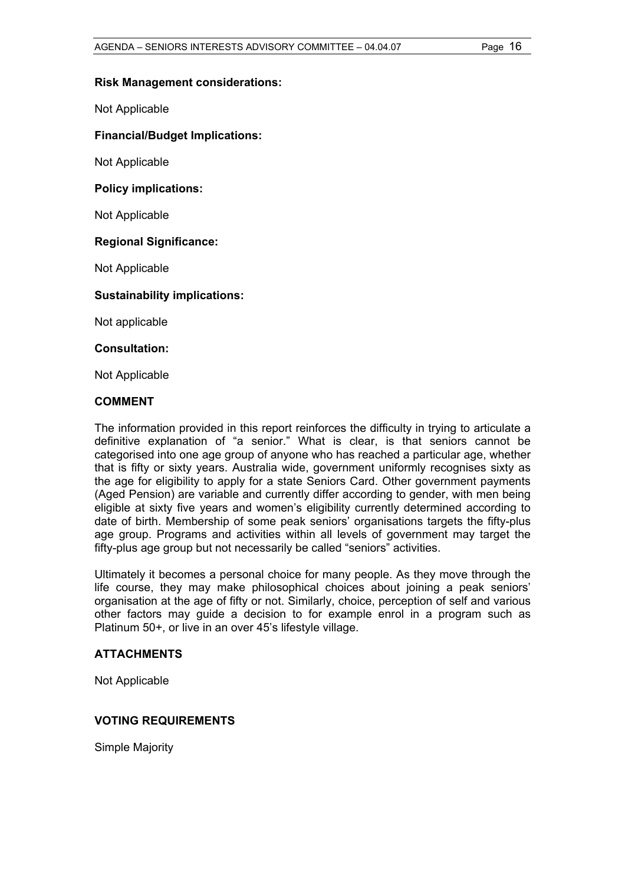#### **Risk Management considerations:**

Not Applicable

#### **Financial/Budget Implications:**

Not Applicable

#### **Policy implications:**

Not Applicable

#### **Regional Significance:**

Not Applicable

#### **Sustainability implications:**

Not applicable

#### **Consultation:**

Not Applicable

#### **COMMENT**

The information provided in this report reinforces the difficulty in trying to articulate a definitive explanation of "a senior." What is clear, is that seniors cannot be categorised into one age group of anyone who has reached a particular age, whether that is fifty or sixty years. Australia wide, government uniformly recognises sixty as the age for eligibility to apply for a state Seniors Card. Other government payments (Aged Pension) are variable and currently differ according to gender, with men being eligible at sixty five years and women's eligibility currently determined according to date of birth. Membership of some peak seniors' organisations targets the fifty-plus age group. Programs and activities within all levels of government may target the fifty-plus age group but not necessarily be called "seniors" activities.

Ultimately it becomes a personal choice for many people. As they move through the life course, they may make philosophical choices about joining a peak seniors' organisation at the age of fifty or not. Similarly, choice, perception of self and various other factors may guide a decision to for example enrol in a program such as Platinum 50+, or live in an over 45's lifestyle village.

#### **ATTACHMENTS**

Not Applicable

#### **VOTING REQUIREMENTS**

Simple Majority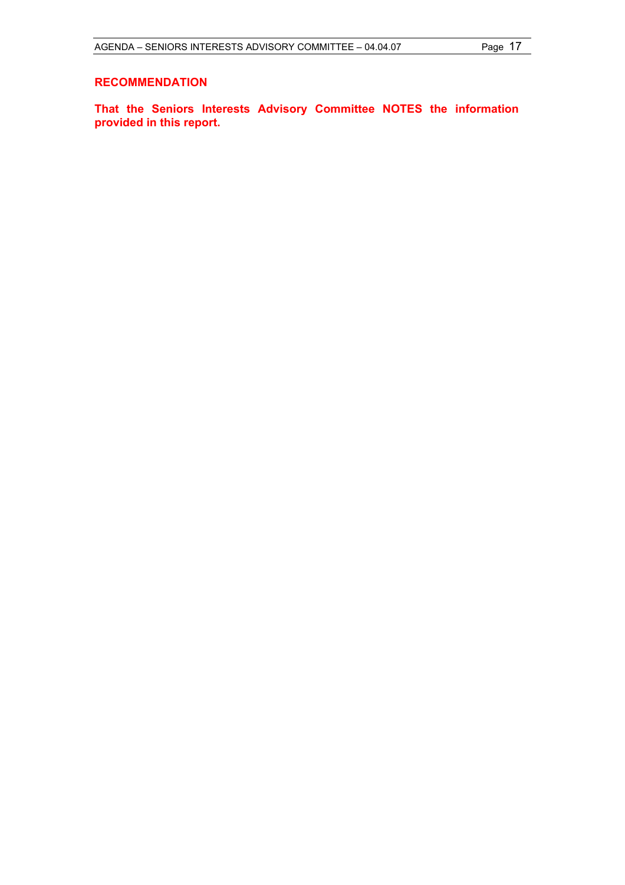#### **RECOMMENDATION**

**That the Seniors Interests Advisory Committee NOTES the information provided in this report.**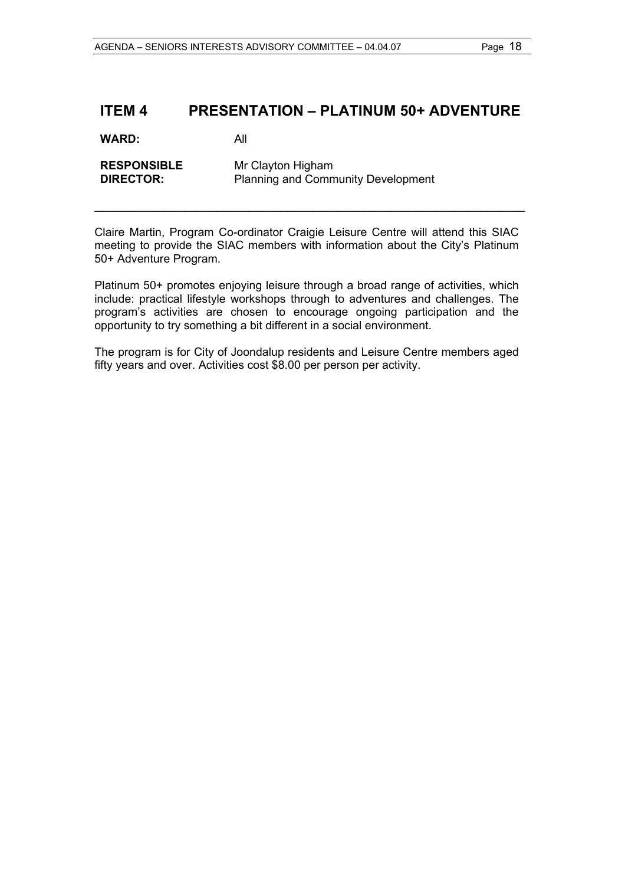## **ITEM 4 PRESENTATION – PLATINUM 50+ ADVENTURE**

**WARD:** All

**RESPONSIBLE** Mr Clayton Higham<br> **DIRECTOR:** Planning and Comm **Planning and Community Development** 

Claire Martin, Program Co-ordinator Craigie Leisure Centre will attend this SIAC meeting to provide the SIAC members with information about the City's Platinum 50+ Adventure Program.

\_\_\_\_\_\_\_\_\_\_\_\_\_\_\_\_\_\_\_\_\_\_\_\_\_\_\_\_\_\_\_\_\_\_\_\_\_\_\_\_\_\_\_\_\_\_\_\_\_\_\_\_\_\_\_\_\_\_\_\_\_\_\_\_\_\_\_

Platinum 50+ promotes enjoying leisure through a broad range of activities, which include: practical lifestyle workshops through to adventures and challenges. The program's activities are chosen to encourage ongoing participation and the opportunity to try something a bit different in a social environment.

The program is for City of Joondalup residents and Leisure Centre members aged fifty years and over. Activities cost \$8.00 per person per activity.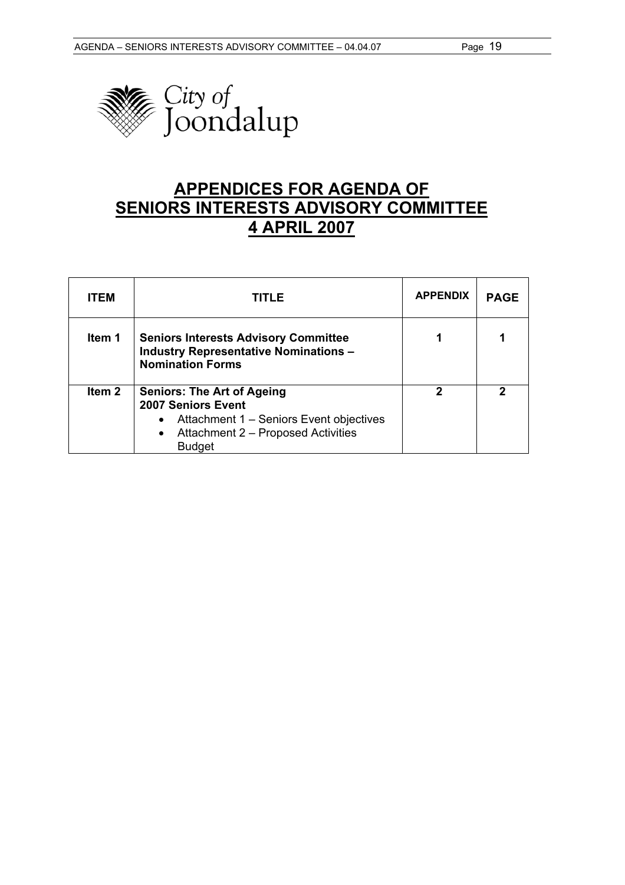

# **APPENDICES FOR AGENDA OF SENIORS INTERESTS ADVISORY COMMITTEE 4 APRIL 2007**

| <b>ITEM</b>       | TITLE                                                                                                                                                                  | <b>APPENDIX</b> | <b>PAGE</b> |
|-------------------|------------------------------------------------------------------------------------------------------------------------------------------------------------------------|-----------------|-------------|
| Item 1            | <b>Seniors Interests Advisory Committee</b><br><b>Industry Representative Nominations -</b><br><b>Nomination Forms</b>                                                 |                 |             |
| Item <sub>2</sub> | <b>Seniors: The Art of Ageing</b><br>2007 Seniors Event<br>Attachment 1 - Seniors Event objectives<br>Attachment 2 - Proposed Activities<br>$\bullet$<br><b>Budget</b> | 2               | 2           |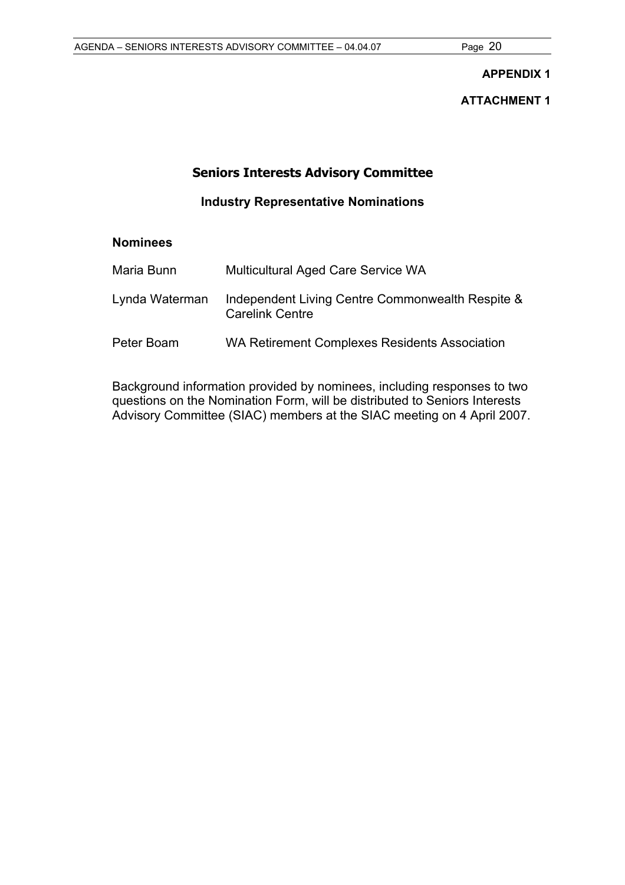#### **APPENDIX 1**

**ATTACHMENT 1** 

## **Seniors Interests Advisory Committee**

**Industry Representative Nominations** 

### **Nominees**

| Maria Bunn     | <b>Multicultural Aged Care Service WA</b>                                  |
|----------------|----------------------------------------------------------------------------|
| Lynda Waterman | Independent Living Centre Commonwealth Respite &<br><b>Carelink Centre</b> |
| Peter Boam     | WA Retirement Complexes Residents Association                              |

Background information provided by nominees, including responses to two questions on the Nomination Form, will be distributed to Seniors Interests Advisory Committee (SIAC) members at the SIAC meeting on 4 April 2007.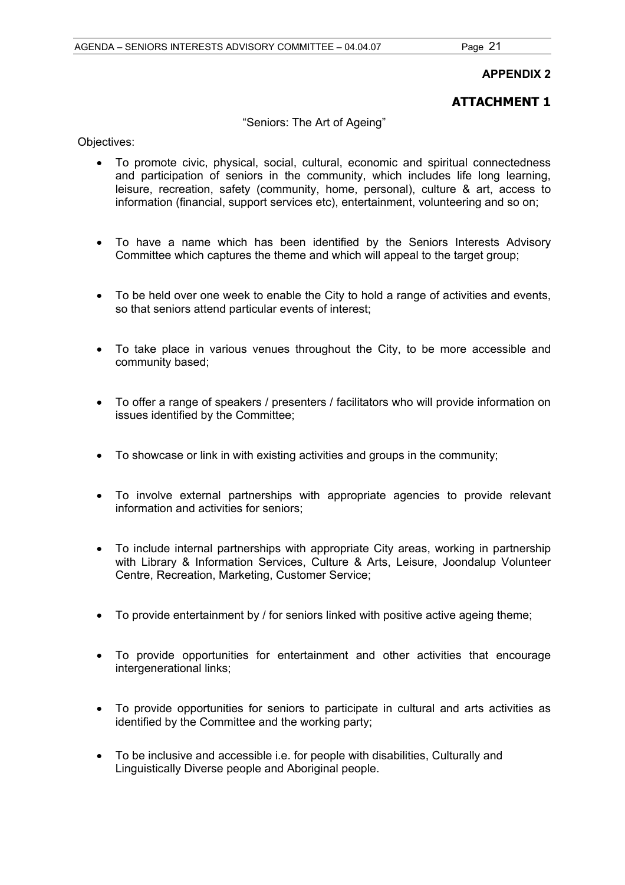#### **APPENDIX 2**

### **ATTACHMENT 1**

"Seniors: The Art of Ageing"

Objectives:

- To promote civic, physical, social, cultural, economic and spiritual connectedness and participation of seniors in the community, which includes life long learning, leisure, recreation, safety (community, home, personal), culture & art, access to information (financial, support services etc), entertainment, volunteering and so on;
- To have a name which has been identified by the Seniors Interests Advisory Committee which captures the theme and which will appeal to the target group;
- To be held over one week to enable the City to hold a range of activities and events, so that seniors attend particular events of interest;
- To take place in various venues throughout the City, to be more accessible and community based;
- To offer a range of speakers / presenters / facilitators who will provide information on issues identified by the Committee;
- To showcase or link in with existing activities and groups in the community;
- To involve external partnerships with appropriate agencies to provide relevant information and activities for seniors;
- To include internal partnerships with appropriate City areas, working in partnership with Library & Information Services, Culture & Arts, Leisure, Joondalup Volunteer Centre, Recreation, Marketing, Customer Service;
- To provide entertainment by / for seniors linked with positive active ageing theme;
- To provide opportunities for entertainment and other activities that encourage intergenerational links;
- To provide opportunities for seniors to participate in cultural and arts activities as identified by the Committee and the working party;
- To be inclusive and accessible i.e. for people with disabilities, Culturally and Linguistically Diverse people and Aboriginal people.